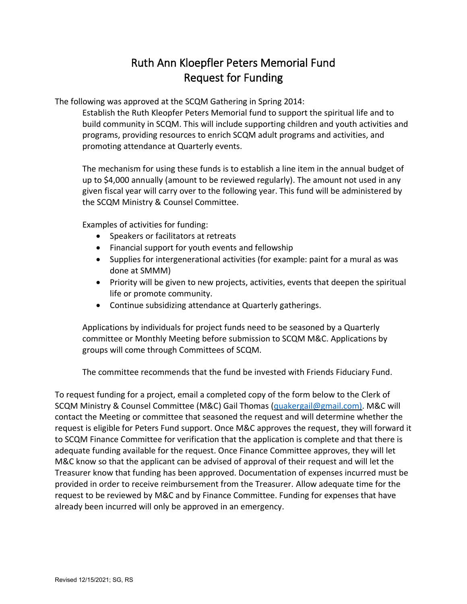## Ruth Ann Kloepfler Peters Memorial Fund Request for Funding

The following was approved at the SCQM Gathering in Spring 2014:

Establish the Ruth Kleopfer Peters Memorial fund to support the spiritual life and to build community in SCQM. This will include supporting children and youth activities and programs, providing resources to enrich SCQM adult programs and activities, and promoting attendance at Quarterly events.

The mechanism for using these funds is to establish a line item in the annual budget of up to \$4,000 annually (amount to be reviewed regularly). The amount not used in any given fiscal year will carry over to the following year. This fund will be administered by the SCQM Ministry & Counsel Committee.

Examples of activities for funding:

- Speakers or facilitators at retreats
- Financial support for youth events and fellowship
- Supplies for intergenerational activities (for example: paint for a mural as was done at SMMM)
- Priority will be given to new projects, activities, events that deepen the spiritual life or promote community.
- Continue subsidizing attendance at Quarterly gatherings.

Applications by individuals for project funds need to be seasoned by a Quarterly committee or Monthly Meeting before submission to SCQM M&C. Applications by groups will come through Committees of SCQM.

The committee recommends that the fund be invested with Friends Fiduciary Fund.

To request funding for a project, email a completed copy of the form below to the Clerk of SCQM Ministry & Counsel Committee (M&C) Gail Thomas [\(quakergail@gmail.com\).](mailto:quakergail@gmail.com)) M&C will contact the Meeting or committee that seasoned the request and will determine whether the request is eligible for Peters Fund support. Once M&C approves the request, they will forward it to SCQM Finance Committee for verification that the application is complete and that there is adequate funding available for the request. Once Finance Committee approves, they will let M&C know so that the applicant can be advised of approval of their request and will let the Treasurer know that funding has been approved. Documentation of expenses incurred must be provided in order to receive reimbursement from the Treasurer. Allow adequate time for the request to be reviewed by M&C and by Finance Committee. Funding for expenses that have already been incurred will only be approved in an emergency.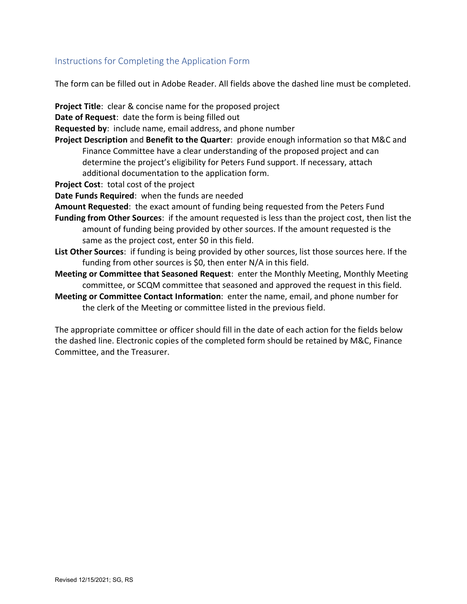## Instructions for Completing the Application Form

The form can be filled out in Adobe Reader. All fields above the dashed line must be completed.

**Project Title**: clear & concise name for the proposed project

**Date of Request**: date the form is being filled out

**Requested by**: include name, email address, and phone number

- **Project Description** and **Benefit to the Quarter**: provide enough information so that M&C and Finance Committee have a clear understanding of the proposed project and can determine the project's eligibility for Peters Fund support. If necessary, attach additional documentation to the application form.
- **Project Cost**: total cost of the project

**Date Funds Required**: when the funds are needed

- **Amount Requested**: the exact amount of funding being requested from the Peters Fund
- **Funding from Other Sources**: if the amount requested is less than the project cost, then list the amount of funding being provided by other sources. If the amount requested is the same as the project cost, enter \$0 in this field.
- **List Other Sources**: if funding is being provided by other sources, list those sources here. If the funding from other sources is \$0, then enter N/A in this field.
- **Meeting or Committee that Seasoned Request**: enter the Monthly Meeting, Monthly Meeting committee, or SCQM committee that seasoned and approved the request in this field.
- **Meeting or Committee Contact Information**: enter the name, email, and phone number for the clerk of the Meeting or committee listed in the previous field.

The appropriate committee or officer should fill in the date of each action for the fields below the dashed line. Electronic copies of the completed form should be retained by M&C, Finance Committee, and the Treasurer.